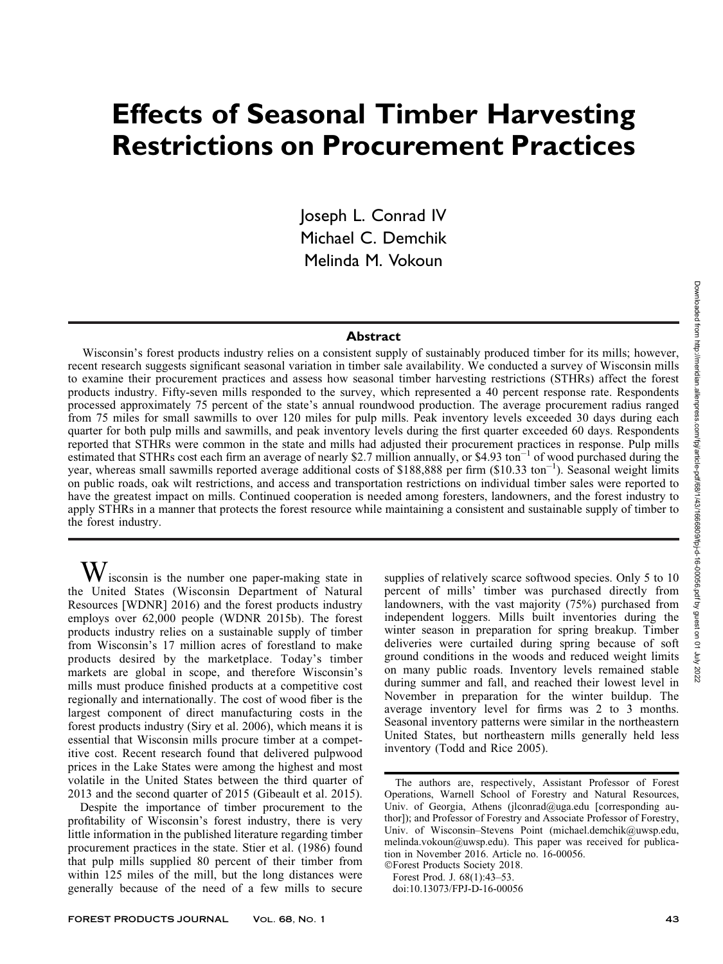# Effects of Seasonal Timber Harvesting Restrictions on Procurement Practices

Joseph L. Conrad IV Michael C. Demchik Melinda M. Vokoun

## Abstract

Wisconsin's forest products industry relies on a consistent supply of sustainably produced timber for its mills; however, recent research suggests significant seasonal variation in timber sale availability. We conducted a survey of Wisconsin mills to examine their procurement practices and assess how seasonal timber harvesting restrictions (STHRs) affect the forest products industry. Fifty-seven mills responded to the survey, which represented a 40 percent response rate. Respondents processed approximately 75 percent of the state's annual roundwood production. The average procurement radius ranged from 75 miles for small sawmills to over 120 miles for pulp mills. Peak inventory levels exceeded 30 days during each quarter for both pulp mills and sawmills, and peak inventory levels during the first quarter exceeded 60 days. Respondents reported that STHRs were common in the state and mills had adjusted their procurement practices in response. Pulp mills estimated that STHRs cost each firm an average of nearly \$2.7 million annually, or \$4.93 ton<sup>-1</sup> of wood purchased during the year, whereas small sawmills reported average additional costs of \$188,888 per firm (\$10.33 ton<sup>-1</sup>). Seasonal weight limits on public roads, oak wilt restrictions, and access and transportation restrictions on individual timber sales were reported to have the greatest impact on mills. Continued cooperation is needed among foresters, landowners, and the forest industry to apply STHRs in a manner that protects the forest resource while maintaining a consistent and sustainable supply of timber to the forest industry.

 $W$  isconsin is the number one paper-making state in the United States (Wisconsin Department of Natural Resources [WDNR] 2016) and the forest products industry employs over 62,000 people (WDNR 2015b). The forest products industry relies on a sustainable supply of timber from Wisconsin's 17 million acres of forestland to make products desired by the marketplace. Today's timber markets are global in scope, and therefore Wisconsin's mills must produce finished products at a competitive cost regionally and internationally. The cost of wood fiber is the largest component of direct manufacturing costs in the forest products industry (Siry et al. 2006), which means it is essential that Wisconsin mills procure timber at a competitive cost. Recent research found that delivered pulpwood prices in the Lake States were among the highest and most volatile in the United States between the third quarter of 2013 and the second quarter of 2015 (Gibeault et al. 2015).

Despite the importance of timber procurement to the profitability of Wisconsin's forest industry, there is very little information in the published literature regarding timber procurement practices in the state. Stier et al. (1986) found that pulp mills supplied 80 percent of their timber from within 125 miles of the mill, but the long distances were generally because of the need of a few mills to secure supplies of relatively scarce softwood species. Only 5 to 10 percent of mills' timber was purchased directly from landowners, with the vast majority (75%) purchased from independent loggers. Mills built inventories during the winter season in preparation for spring breakup. Timber deliveries were curtailed during spring because of soft ground conditions in the woods and reduced weight limits on many public roads. Inventory levels remained stable during summer and fall, and reached their lowest level in November in preparation for the winter buildup. The average inventory level for firms was 2 to 3 months. Seasonal inventory patterns were similar in the northeastern United States, but northeastern mills generally held less inventory (Todd and Rice 2005).

-Forest Products Society 2018. Forest Prod. J. 68(1):43–53.

doi:10.13073/FPJ-D-16-00056

The authors are, respectively, Assistant Professor of Forest Operations, Warnell School of Forestry and Natural Resources, Univ. of Georgia, Athens (jlconrad@uga.edu [corresponding author]); and Professor of Forestry and Associate Professor of Forestry, Univ. of Wisconsin–Stevens Point (michael.demchik@uwsp.edu, melinda.vokoun@uwsp.edu). This paper was received for publication in November 2016. Article no. 16-00056.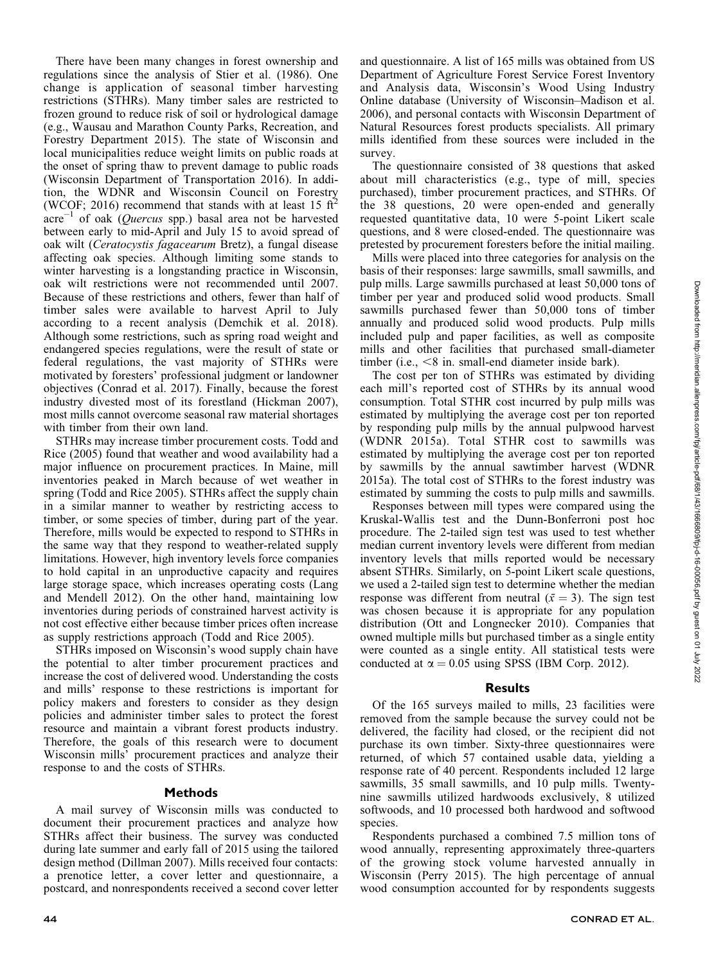There have been many changes in forest ownership and regulations since the analysis of Stier et al. (1986). One change is application of seasonal timber harvesting restrictions (STHRs). Many timber sales are restricted to frozen ground to reduce risk of soil or hydrological damage (e.g., Wausau and Marathon County Parks, Recreation, and Forestry Department 2015). The state of Wisconsin and local municipalities reduce weight limits on public roads at the onset of spring thaw to prevent damage to public roads (Wisconsin Department of Transportation 2016). In addition, the WDNR and Wisconsin Council on Forestry (WCOF; 2016) recommend that stands with at least 15 ft<sup>2</sup>  $\arccos{a}$  of oak (*Quercus* spp.) basal area not be harvested between early to mid-April and July 15 to avoid spread of oak wilt (Ceratocystis fagacearum Bretz), a fungal disease affecting oak species. Although limiting some stands to winter harvesting is a longstanding practice in Wisconsin, oak wilt restrictions were not recommended until 2007. Because of these restrictions and others, fewer than half of timber sales were available to harvest April to July according to a recent analysis (Demchik et al. 2018). Although some restrictions, such as spring road weight and endangered species regulations, were the result of state or federal regulations, the vast majority of STHRs were motivated by foresters' professional judgment or landowner objectives (Conrad et al. 2017). Finally, because the forest industry divested most of its forestland (Hickman 2007), most mills cannot overcome seasonal raw material shortages with timber from their own land.

STHRs may increase timber procurement costs. Todd and Rice (2005) found that weather and wood availability had a major influence on procurement practices. In Maine, mill inventories peaked in March because of wet weather in spring (Todd and Rice 2005). STHRs affect the supply chain in a similar manner to weather by restricting access to timber, or some species of timber, during part of the year. Therefore, mills would be expected to respond to STHRs in the same way that they respond to weather-related supply limitations. However, high inventory levels force companies to hold capital in an unproductive capacity and requires large storage space, which increases operating costs (Lang and Mendell 2012). On the other hand, maintaining low inventories during periods of constrained harvest activity is not cost effective either because timber prices often increase as supply restrictions approach (Todd and Rice 2005).

STHRs imposed on Wisconsin's wood supply chain have the potential to alter timber procurement practices and increase the cost of delivered wood. Understanding the costs and mills' response to these restrictions is important for policy makers and foresters to consider as they design policies and administer timber sales to protect the forest resource and maintain a vibrant forest products industry. Therefore, the goals of this research were to document Wisconsin mills' procurement practices and analyze their response to and the costs of STHRs.

#### **Methods**

A mail survey of Wisconsin mills was conducted to document their procurement practices and analyze how STHRs affect their business. The survey was conducted during late summer and early fall of 2015 using the tailored design method (Dillman 2007). Mills received four contacts: a prenotice letter, a cover letter and questionnaire, a postcard, and nonrespondents received a second cover letter and questionnaire. A list of 165 mills was obtained from US Department of Agriculture Forest Service Forest Inventory and Analysis data, Wisconsin's Wood Using Industry Online database (University of Wisconsin–Madison et al. 2006), and personal contacts with Wisconsin Department of Natural Resources forest products specialists. All primary mills identified from these sources were included in the survey.

The questionnaire consisted of 38 questions that asked about mill characteristics (e.g., type of mill, species purchased), timber procurement practices, and STHRs. Of the 38 questions, 20 were open-ended and generally requested quantitative data, 10 were 5-point Likert scale questions, and 8 were closed-ended. The questionnaire was pretested by procurement foresters before the initial mailing.

Mills were placed into three categories for analysis on the basis of their responses: large sawmills, small sawmills, and pulp mills. Large sawmills purchased at least 50,000 tons of timber per year and produced solid wood products. Small sawmills purchased fewer than 50,000 tons of timber annually and produced solid wood products. Pulp mills included pulp and paper facilities, as well as composite mills and other facilities that purchased small-diameter timber (i.e.,  $\leq 8$  in. small-end diameter inside bark).

The cost per ton of STHRs was estimated by dividing each mill's reported cost of STHRs by its annual wood consumption. Total STHR cost incurred by pulp mills was estimated by multiplying the average cost per ton reported by responding pulp mills by the annual pulpwood harvest (WDNR 2015a). Total STHR cost to sawmills was estimated by multiplying the average cost per ton reported by sawmills by the annual sawtimber harvest (WDNR 2015a). The total cost of STHRs to the forest industry was estimated by summing the costs to pulp mills and sawmills.

Responses between mill types were compared using the Kruskal-Wallis test and the Dunn-Bonferroni post hoc procedure. The 2-tailed sign test was used to test whether median current inventory levels were different from median inventory levels that mills reported would be necessary absent STHRs. Similarly, on 5-point Likert scale questions, we used a 2-tailed sign test to determine whether the median response was different from neutral  $(\bar{x} = 3)$ . The sign test was chosen because it is appropriate for any population distribution (Ott and Longnecker 2010). Companies that owned multiple mills but purchased timber as a single entity were counted as a single entity. All statistical tests were conducted at  $\alpha = 0.05$  using SPSS (IBM Corp. 2012).

#### Results

Of the 165 surveys mailed to mills, 23 facilities were removed from the sample because the survey could not be delivered, the facility had closed, or the recipient did not purchase its own timber. Sixty-three questionnaires were returned, of which 57 contained usable data, yielding a response rate of 40 percent. Respondents included 12 large sawmills, 35 small sawmills, and 10 pulp mills. Twentynine sawmills utilized hardwoods exclusively, 8 utilized softwoods, and 10 processed both hardwood and softwood species.

Respondents purchased a combined 7.5 million tons of wood annually, representing approximately three-quarters of the growing stock volume harvested annually in Wisconsin (Perry 2015). The high percentage of annual wood consumption accounted for by respondents suggests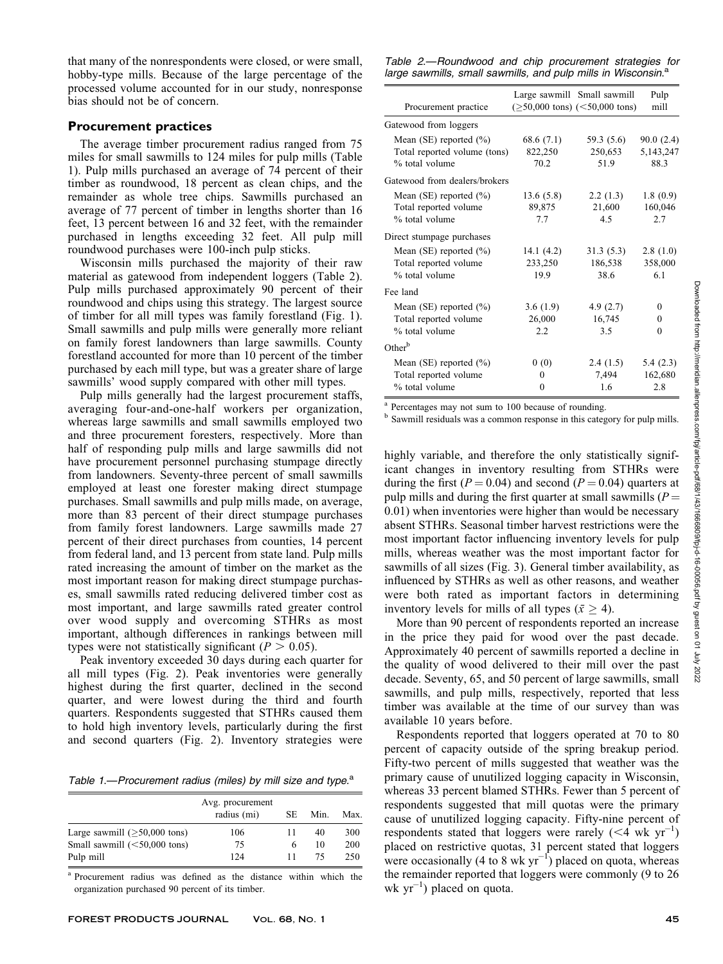that many of the nonrespondents were closed, or were small, hobby-type mills. Because of the large percentage of the processed volume accounted for in our study, nonresponse bias should not be of concern.

## Procurement practices

The average timber procurement radius ranged from 75 miles for small sawmills to 124 miles for pulp mills (Table 1). Pulp mills purchased an average of 74 percent of their timber as roundwood, 18 percent as clean chips, and the remainder as whole tree chips. Sawmills purchased an average of 77 percent of timber in lengths shorter than 16 feet, 13 percent between 16 and 32 feet, with the remainder purchased in lengths exceeding 32 feet. All pulp mill roundwood purchases were 100-inch pulp sticks.

Wisconsin mills purchased the majority of their raw material as gatewood from independent loggers (Table 2). Pulp mills purchased approximately 90 percent of their roundwood and chips using this strategy. The largest source of timber for all mill types was family forestland (Fig. 1). Small sawmills and pulp mills were generally more reliant on family forest landowners than large sawmills. County forestland accounted for more than 10 percent of the timber purchased by each mill type, but was a greater share of large sawmills' wood supply compared with other mill types.

Pulp mills generally had the largest procurement staffs, averaging four-and-one-half workers per organization, whereas large sawmills and small sawmills employed two and three procurement foresters, respectively. More than half of responding pulp mills and large sawmills did not have procurement personnel purchasing stumpage directly from landowners. Seventy-three percent of small sawmills employed at least one forester making direct stumpage purchases. Small sawmills and pulp mills made, on average, more than 83 percent of their direct stumpage purchases from family forest landowners. Large sawmills made 27 percent of their direct purchases from counties, 14 percent from federal land, and 13 percent from state land. Pulp mills rated increasing the amount of timber on the market as the most important reason for making direct stumpage purchases, small sawmills rated reducing delivered timber cost as most important, and large sawmills rated greater control over wood supply and overcoming STHRs as most important, although differences in rankings between mill types were not statistically significant ( $P > 0.05$ ).

Peak inventory exceeded 30 days during each quarter for all mill types (Fig. 2). Peak inventories were generally highest during the first quarter, declined in the second quarter, and were lowest during the third and fourth quarters. Respondents suggested that STHRs caused them to hold high inventory levels, particularly during the first and second quarters (Fig. 2). Inventory strategies were

Table 1.—Procurement radius (miles) by mill size and type. $a$ 

|                                 | Avg. procurement<br>radius (mi) | SЕ | Min. | Max. |
|---------------------------------|---------------------------------|----|------|------|
| Large sawmill $($ >50,000 tons) | 106                             |    | 40   | 300  |
| Small sawmill $(<50,000$ tons)  | 75                              | 6  | 10   | 200  |
| Pulp mill                       | 124                             |    | 75   | 250  |

<sup>a</sup> Procurement radius was defined as the distance within which the organization purchased 90 percent of its timber.

Table 2.—Roundwood and chip procurement strategies for large sawmills, small sawmills, and pulp mills in Wisconsin.<sup>a</sup>

| Procurement practice                                                          |                               | Large sawmill Small sawmill<br>$(\geq 50,000$ tons) $(< 50,000$ tons) | Pulp<br>mill                     |
|-------------------------------------------------------------------------------|-------------------------------|-----------------------------------------------------------------------|----------------------------------|
| Gatewood from loggers                                                         |                               |                                                                       |                                  |
| Mean $(SE)$ reported $(\%)$<br>Total reported volume (tons)<br>% total volume | 68.6 (7.1)<br>822,250<br>70.2 | 59.3 (5.6)<br>250,653<br>51.9                                         | 90.0(2.4)<br>5, 143, 247<br>88.3 |
| Gatewood from dealers/brokers                                                 |                               |                                                                       |                                  |
| Mean (SE) reported $(\% )$<br>Total reported volume<br>% total volume         | 13.6(5.8)<br>89,875<br>7.7    | 2.2(1.3)<br>21,600<br>4.5                                             | 1.8(0.9)<br>160,046<br>2.7       |
| Direct stumpage purchases                                                     |                               |                                                                       |                                  |
| Mean (SE) reported $(\% )$<br>Total reported volume<br>% total volume         | 14.1(4.2)<br>233,250<br>19.9  | 31.3(5.3)<br>186,538<br>38.6                                          | 2.8(1.0)<br>358,000<br>61        |
| Fee land                                                                      |                               |                                                                       |                                  |
| Mean (SE) reported $(\% )$<br>Total reported volume<br>% total volume         | 3.6(1.9)<br>26,000<br>2.2     | 4.9(2.7)<br>16,745<br>3.5                                             | $\Omega$<br>$\Omega$<br>$\Omega$ |
| $Other^b$                                                                     |                               |                                                                       |                                  |
| Mean (SE) reported $(\% )$<br>Total reported volume<br>% total volume         | 0(0)<br>0<br>0                | 2.4(1.5)<br>7,494<br>1.6                                              | 5.4(2.3)<br>162,680<br>2.8       |

<sup>a</sup> Percentages may not sum to 100 because of rounding.

<sup>b</sup> Sawmill residuals was a common response in this category for pulp mills.

highly variable, and therefore the only statistically significant changes in inventory resulting from STHRs were during the first ( $P = 0.04$ ) and second ( $P = 0.04$ ) quarters at pulp mills and during the first quarter at small sawmills ( $P =$ 0.01) when inventories were higher than would be necessary absent STHRs. Seasonal timber harvest restrictions were the most important factor influencing inventory levels for pulp mills, whereas weather was the most important factor for sawmills of all sizes (Fig. 3). General timber availability, as influenced by STHRs as well as other reasons, and weather were both rated as important factors in determining inventory levels for mills of all types ( $\bar{x} \geq 4$ ).

More than 90 percent of respondents reported an increase in the price they paid for wood over the past decade. Approximately 40 percent of sawmills reported a decline in the quality of wood delivered to their mill over the past decade. Seventy, 65, and 50 percent of large sawmills, small sawmills, and pulp mills, respectively, reported that less timber was available at the time of our survey than was available 10 years before.

Respondents reported that loggers operated at 70 to 80 percent of capacity outside of the spring breakup period. Fifty-two percent of mills suggested that weather was the primary cause of unutilized logging capacity in Wisconsin, whereas 33 percent blamed STHRs. Fewer than 5 percent of respondents suggested that mill quotas were the primary cause of unutilized logging capacity. Fifty-nine percent of respondents stated that loggers were rarely  $( $\overline{4}$  wk yr<sup>-1</sup>)$ placed on restrictive quotas, 31 percent stated that loggers were occasionally (4 to 8 wk  $yr^{-1}$ ) placed on quota, whereas the remainder reported that loggers were commonly (9 to 26 wk  $yr^{-1}$ ) placed on quota.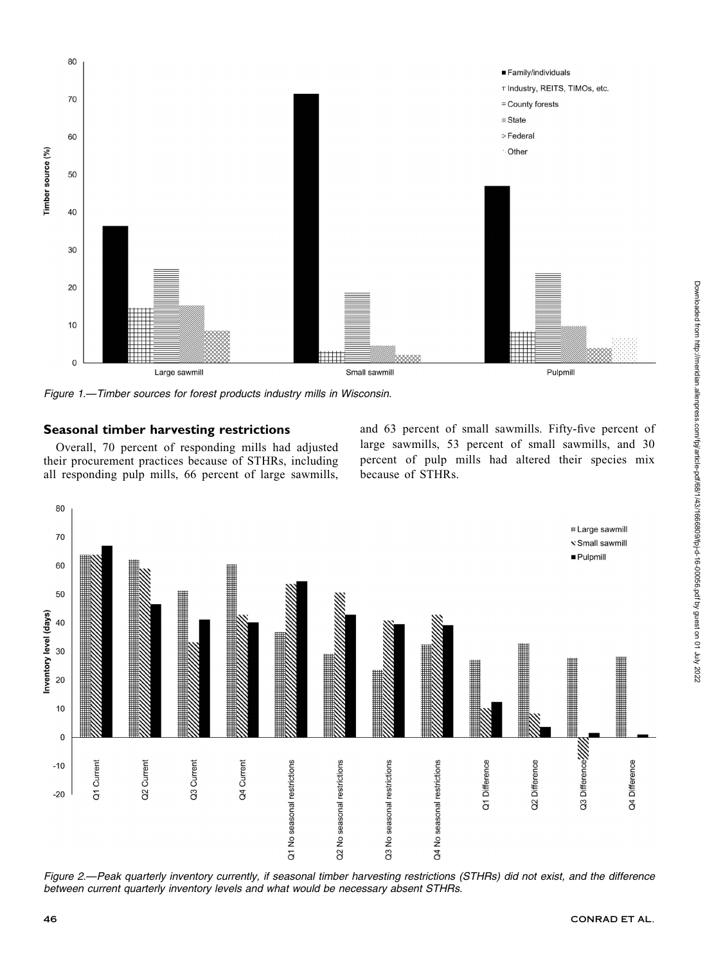

Figure 1.—Timber sources for forest products industry mills in Wisconsin.

# Seasonal timber harvesting restrictions

Overall, 70 percent of responding mills had adjusted their procurement practices because of STHRs, including all responding pulp mills, 66 percent of large sawmills, and 63 percent of small sawmills. Fifty-five percent of large sawmills, 53 percent of small sawmills, and 30 percent of pulp mills had altered their species mix because of STHRs.



Figure 2.—Peak quarterly inventory currently, if seasonal timber harvesting restrictions (STHRs) did not exist, and the difference between current quarterly inventory levels and what would be necessary absent STHRs.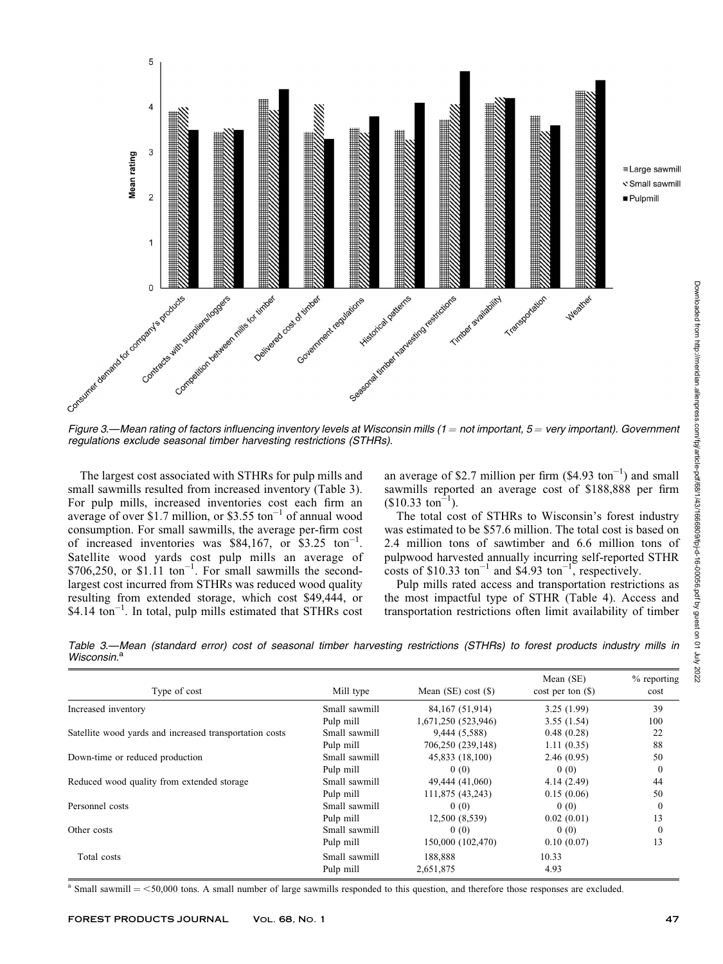

regulations exclude seasonal timber harvesting restrictions (STHRs).

The largest cost associated with STHRs for pulp mills and small sawmills resulted from increased inventory (Table 3). For pulp mills, increased inventories cost each firm an average of over \$1.7 million, or \$3.55 ton $^{-1}$  of annual wood consumption. For small sawmills, the average per-firm cost of increased inventories was \$84,167, or  $$3.25$  ton<sup>-1</sup>. Satellite wood yards cost pulp mills an average of  $$706,250$ , or  $$1.11$  ton<sup>-1</sup>. For small sawmills the secondlargest cost incurred from STHRs was reduced wood quality resulting from extended storage, which cost \$49,444, or \$4.14 ton<sup>-1</sup>. In total, pulp mills estimated that STHRs cost

an average of \$2.7 million per firm  $(\$4.93 \text{ ton}^{-1})$  and small sawmills reported an average cost of \$188,888 per firm  $($10.33 \text{ ton}^{-1}).$ 

The total cost of STHRs to Wisconsin's forest industry was estimated to be \$57.6 million. The total cost is based on 2.4 million tons of sawtimber and 6.6 million tons of pulpwood harvested annually incurring self-reported STHR costs of  $$10.33$  ton<sup>-1</sup> and  $$4.93$  ton<sup>-1</sup>, respectively.

Pulp mills rated access and transportation restrictions as the most impactful type of STHR (Table 4). Access and transportation restrictions often limit availability of timber

Table 3.—Mean (standard error) cost of seasonal timber harvesting restrictions (STHRs) to forest products industry mills in Wisconsin.<sup>a</sup>

| Type of cost                                            | Mill type     | Mean $(SE)$ cost $(\$)$ | Mean (SE)<br>$cost per ton (\$)$ | $%$ reporting<br>cost |
|---------------------------------------------------------|---------------|-------------------------|----------------------------------|-----------------------|
| Increased inventory                                     | Small sawmill | 84, 167 (51, 914)       | 3.25(1.99)                       | 39                    |
|                                                         | Pulp mill     | 1,671,250 (523,946)     | 3.55(1.54)                       | 100                   |
| Satellite wood vards and increased transportation costs | Small sawmill | 9,444 (5,588)           | 0.48(0.28)                       | 22                    |
|                                                         | Pulp mill     | 706,250 (239,148)       | 1.11(0.35)                       | 88                    |
| Down-time or reduced production                         | Small sawmill | 45,833 (18,100)         | 2.46(0.95)                       | 50                    |
|                                                         | Pulp mill     | 0(0)                    | 0(0)                             | $\mathbf{0}$          |
| Reduced wood quality from extended storage              | Small sawmill | 49,444 (41,060)         | 4.14(2.49)                       | 44                    |
|                                                         | Pulp mill     | 111,875 (43,243)        | 0.15(0.06)                       | 50                    |
| Personnel costs                                         | Small sawmill | 0(0)                    | 0(0)                             | $\Omega$              |
|                                                         | Pulp mill     | 12,500 (8,539)          | 0.02(0.01)                       | 13                    |
| Other costs                                             | Small sawmill | 0(0)                    | 0(0)                             | $\mathbf{0}$          |
|                                                         | Pulp mill     | 150,000 (102,470)       | 0.10(0.07)                       | 13                    |
| Total costs                                             | Small sawmill | 188,888                 | 10.33                            |                       |
|                                                         | Pulp mill     | 2,651,875               | 4.93                             |                       |

 $a$  Small sawmill  $=$  <50,000 tons. A small number of large sawmills responded to this question, and therefore those responses are excluded.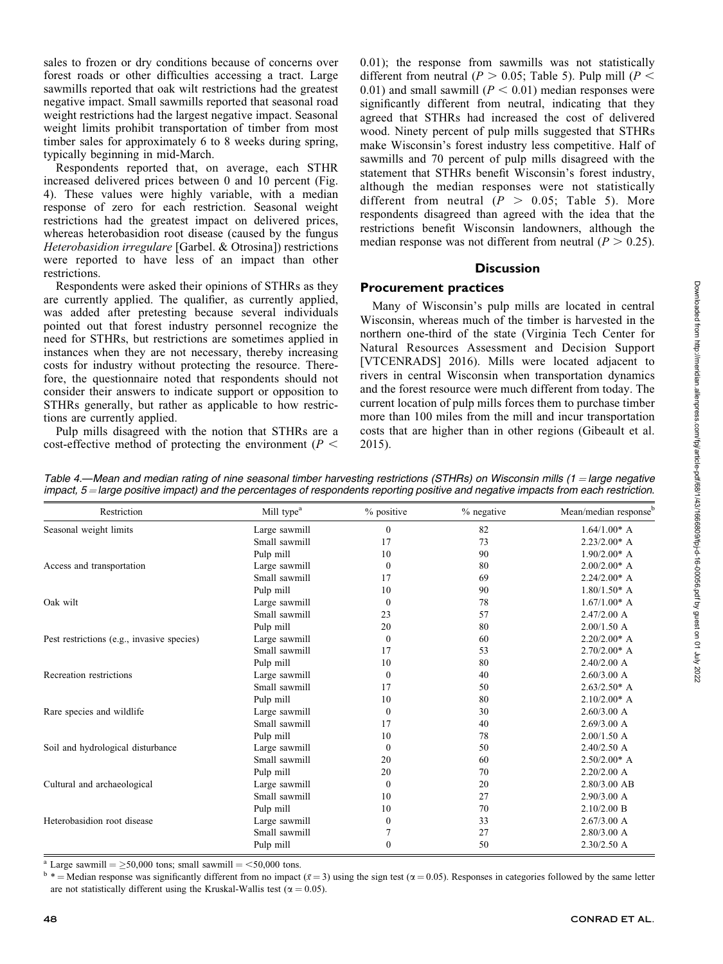sales to frozen or dry conditions because of concerns over forest roads or other difficulties accessing a tract. Large sawmills reported that oak wilt restrictions had the greatest negative impact. Small sawmills reported that seasonal road weight restrictions had the largest negative impact. Seasonal weight limits prohibit transportation of timber from most timber sales for approximately 6 to 8 weeks during spring, typically beginning in mid-March.

Respondents reported that, on average, each STHR increased delivered prices between 0 and 10 percent (Fig. 4). These values were highly variable, with a median response of zero for each restriction. Seasonal weight restrictions had the greatest impact on delivered prices, whereas heterobasidion root disease (caused by the fungus Heterobasidion irregulare [Garbel. & Otrosina]) restrictions were reported to have less of an impact than other restrictions.

Respondents were asked their opinions of STHRs as they are currently applied. The qualifier, as currently applied, was added after pretesting because several individuals pointed out that forest industry personnel recognize the need for STHRs, but restrictions are sometimes applied in instances when they are not necessary, thereby increasing costs for industry without protecting the resource. Therefore, the questionnaire noted that respondents should not consider their answers to indicate support or opposition to STHRs generally, but rather as applicable to how restrictions are currently applied.

Pulp mills disagreed with the notion that STHRs are a cost-effective method of protecting the environment ( $P \leq$  0.01); the response from sawmills was not statistically different from neutral ( $P > 0.05$ ; Table 5). Pulp mill ( $P <$ 0.01) and small sawmill  $(P < 0.01)$  median responses were significantly different from neutral, indicating that they agreed that STHRs had increased the cost of delivered wood. Ninety percent of pulp mills suggested that STHRs make Wisconsin's forest industry less competitive. Half of sawmills and 70 percent of pulp mills disagreed with the statement that STHRs benefit Wisconsin's forest industry, although the median responses were not statistically different from neutral  $(P > 0.05;$  Table 5). More respondents disagreed than agreed with the idea that the restrictions benefit Wisconsin landowners, although the median response was not different from neutral ( $P > 0.25$ ).

## **Discussion**

## Procurement practices

Many of Wisconsin's pulp mills are located in central Wisconsin, whereas much of the timber is harvested in the northern one-third of the state (Virginia Tech Center for Natural Resources Assessment and Decision Support [VTCENRADS] 2016). Mills were located adjacent to rivers in central Wisconsin when transportation dynamics and the forest resource were much different from today. The current location of pulp mills forces them to purchase timber more than 100 miles from the mill and incur transportation costs that are higher than in other regions (Gibeault et al. 2015).

| Table 4.—Mean and median rating of nine seasonal timber harvesting restrictions (STHRs) on Wisconsin mills (1 = large negative       |  |  |  |
|--------------------------------------------------------------------------------------------------------------------------------------|--|--|--|
| impact, 5 = large positive impact) and the percentages of respondents reporting positive and negative impacts from each restriction. |  |  |  |

| Restriction                                | Mill type <sup>a</sup> | % positive       | % negative | Mean/median response <sup>b</sup> |
|--------------------------------------------|------------------------|------------------|------------|-----------------------------------|
| Seasonal weight limits                     | Large sawmill          | $\boldsymbol{0}$ | 82         | $1.64/1.00^*$ A                   |
|                                            | Small sawmill          | 17               | 73         | $2.23/2.00*$ A                    |
|                                            | Pulp mill              | 10               | 90         | $1.90/2.00*$ A                    |
| Access and transportation                  | Large sawmill          | $\mathbf{0}$     | 80         | $2.00/2.00*$ A                    |
|                                            | Small sawmill          | 17               | 69         | $2.24/2.00*$ A                    |
|                                            | Pulp mill              | 10               | 90         | $1.80/1.50^*$ A                   |
| Oak wilt                                   | Large sawmill          | $\bf{0}$         | 78         | $1.67/1.00*$ A                    |
|                                            | Small sawmill          | 23               | 57         | $2.47/2.00$ A                     |
|                                            | Pulp mill              | 20               | 80         | $2.00/1.50$ A                     |
| Pest restrictions (e.g., invasive species) | Large sawmill          | $\mathbf{0}$     | 60         | $2.20/2.00*$ A                    |
|                                            | Small sawmill          | 17               | 53         | $2.70/2.00*$ A                    |
|                                            | Pulp mill              | 10               | 80         | $2.40/2.00$ A                     |
| Recreation restrictions                    | Large sawmill          | $\bf{0}$         | 40         | 2.60/3.00 A                       |
|                                            | Small sawmill          | 17               | 50         | $2.63/2.50*$ A                    |
|                                            | Pulp mill              | 10               | 80         | $2.10/2.00*$ A                    |
| Rare species and wildlife                  | Large sawmill          | $\boldsymbol{0}$ | 30         | $2.60/3.00$ A                     |
|                                            | Small sawmill          | 17               | 40         | 2.69/3.00 A                       |
|                                            | Pulp mill              | 10               | 78         | $2.00/1.50$ A                     |
| Soil and hydrological disturbance          | Large sawmill          | $\boldsymbol{0}$ | 50         | 2.40/2.50 A                       |
|                                            | Small sawmill          | 20               | 60         | $2.50/2.00*$ A                    |
|                                            | Pulp mill              | 20               | 70         | $2.20/2.00$ A                     |
| Cultural and archaeological                | Large sawmill          | $\bf{0}$         | 20         | $2.80/3.00$ AB                    |
|                                            | Small sawmill          | 10               | 27         | 2.90/3.00 A                       |
|                                            | Pulp mill              | 10               | 70         | 2.10/2.00 B                       |
| Heterobasidion root disease                | Large sawmill          | $\boldsymbol{0}$ | 33         | 2.67/3.00 A                       |
|                                            | Small sawmill          | 7                | 27         | 2.80/3.00 A                       |
|                                            | Pulp mill              | $\boldsymbol{0}$ | 50         | $2.30/2.50$ A                     |

<sup>a</sup> Large sawmill =  $\geq$ 50,000 tons; small sawmill = <50,000 tons.<br><sup>b</sup> \* = Median response was significantly different from no impact ( $\bar{x}$  = 3) using the sign test ( $\alpha$  = 0.05). Responses in categories followed by th are not statistically different using the Kruskal-Wallis test ( $\alpha = 0.05$ ).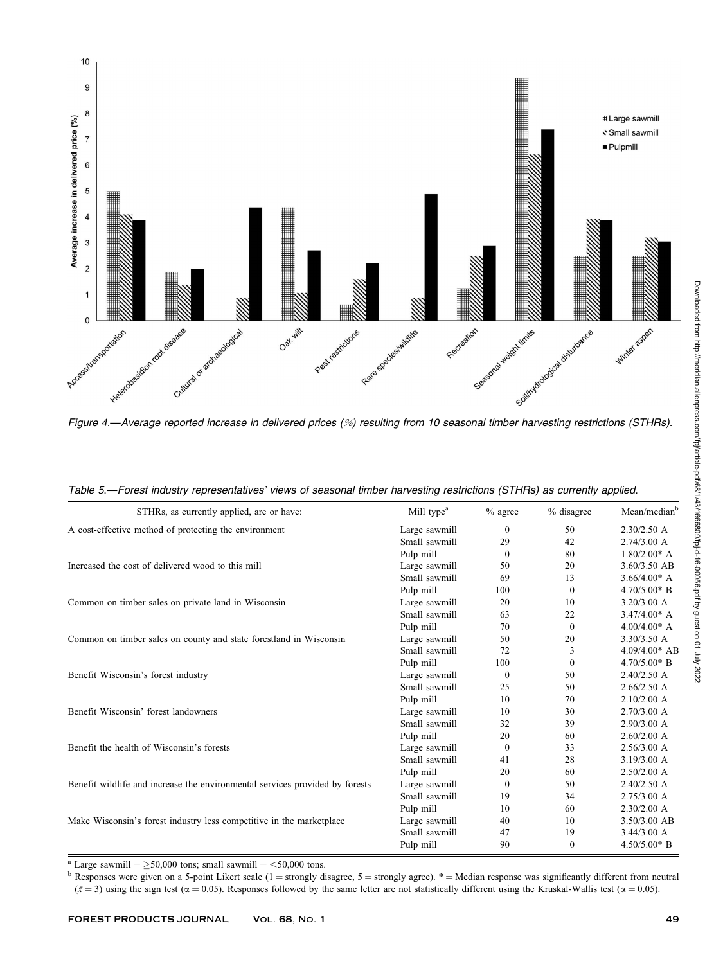

|  |  |  |  |  | Table 5.—Forest industry representatives' views of seasonal timber harvesting restrictions (STHRs) as currently applied. |
|--|--|--|--|--|--------------------------------------------------------------------------------------------------------------------------|
|--|--|--|--|--|--------------------------------------------------------------------------------------------------------------------------|

| STHRs, as currently applied, are or have:                                    | Mill type <sup>a</sup> | $%$ agree    | % disagree | Mean/median <sup>b</sup> |
|------------------------------------------------------------------------------|------------------------|--------------|------------|--------------------------|
| A cost-effective method of protecting the environment                        | Large sawmill          | $\mathbf{0}$ | 50         | $2.30/2.50$ A            |
|                                                                              | Small sawmill          | 29           | 42         | 2.74/3.00 A              |
|                                                                              | Pulp mill              | $\theta$     | 80         | $1.80/2.00^*$ A          |
| Increased the cost of delivered wood to this mill                            | Large sawmill          | 50           | 20         | 3.60/3.50 AB             |
|                                                                              | Small sawmill          | 69           | 13         | $3.66/4.00*$ A           |
|                                                                              | Pulp mill              | 100          | $\Omega$   | $4.70/5.00*$ B           |
| Common on timber sales on private land in Wisconsin                          | Large sawmill          | 20           | 10         | 3.20/3.00 A              |
|                                                                              | Small sawmill          | 63           | 22         | $3.47/4.00*$ A           |
|                                                                              | Pulp mill              | 70           | $\theta$   | $4.00/4.00*$ A           |
| Common on timber sales on county and state forestland in Wisconsin           | Large sawmill          | 50           | 20         | 3.30/3.50 A              |
|                                                                              | Small sawmill          | 72           | 3          | $4.09/4.00*$ AB          |
|                                                                              | Pulp mill              | 100          | $\Omega$   | $4.70/5.00*$ B           |
| Benefit Wisconsin's forest industry                                          | Large sawmill          | $\Omega$     | 50         | 2.40/2.50 A              |
|                                                                              | Small sawmill          | 25           | 50         | 2.66/2.50 A              |
|                                                                              | Pulp mill              | 10           | 70         | 2.10/2.00 A              |
| Benefit Wisconsin' forest landowners                                         | Large sawmill          | 10           | 30         | $2.70/3.00$ A            |
|                                                                              | Small sawmill          | 32           | 39         | 2.90/3.00 A              |
|                                                                              | Pulp mill              | 20           | 60         | 2.60/2.00 A              |
| Benefit the health of Wisconsin's forests                                    | Large sawmill          | $\theta$     | 33         | 2.56/3.00 A              |
|                                                                              | Small sawmill          | 41           | 28         | 3.19/3.00 A              |
|                                                                              | Pulp mill              | 20           | 60         | 2.50/2.00 A              |
| Benefit wildlife and increase the environmental services provided by forests | Large sawmill          | $\mathbf{0}$ | 50         | $2.40/2.50$ A            |
|                                                                              | Small sawmill          | 19           | 34         | 2.75/3.00 A              |
|                                                                              | Pulp mill              | 10           | 60         | 2.30/2.00 A              |
| Make Wisconsin's forest industry less competitive in the marketplace         | Large sawmill          | 40           | 10         | 3.50/3.00 AB             |
|                                                                              | Small sawmill          | 47           | 19         | 3.44/3.00 A              |
|                                                                              | Pulp mill              | 90           | $\Omega$   | $4.50/5.00*$ B           |

<sup>a</sup> Large sawmill =  $\geq$ 50,000 tons; small sawmill = <50,000 tons.<br><sup>b</sup> Responses were given on a 5-point Likert scale (1 = strongly disagree, 5 = strongly agree). \* = Median response was significantly different from neut  $(\bar{x} = 3)$  using the sign test ( $\alpha = 0.05$ ). Responses followed by the same letter are not statistically different using the Kruskal-Wallis test ( $\alpha = 0.05$ ).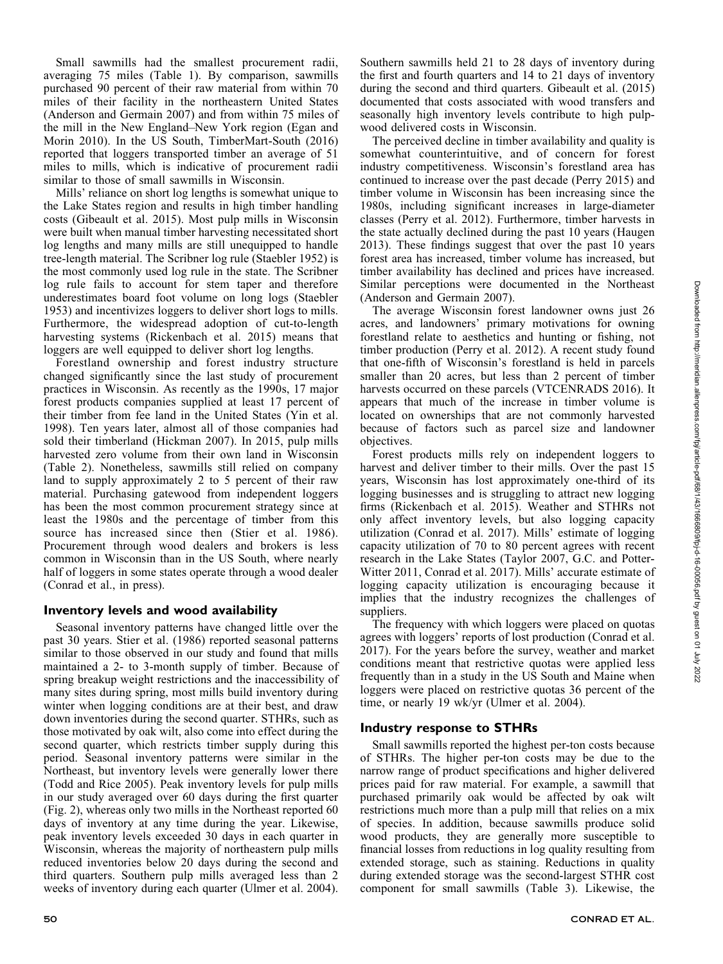Small sawmills had the smallest procurement radii, averaging 75 miles (Table 1). By comparison, sawmills purchased 90 percent of their raw material from within 70 miles of their facility in the northeastern United States (Anderson and Germain 2007) and from within 75 miles of the mill in the New England–New York region (Egan and Morin 2010). In the US South, TimberMart-South (2016) reported that loggers transported timber an average of 51 miles to mills, which is indicative of procurement radii similar to those of small sawmills in Wisconsin.

Mills' reliance on short log lengths is somewhat unique to the Lake States region and results in high timber handling costs (Gibeault et al. 2015). Most pulp mills in Wisconsin were built when manual timber harvesting necessitated short log lengths and many mills are still unequipped to handle tree-length material. The Scribner log rule (Staebler 1952) is the most commonly used log rule in the state. The Scribner log rule fails to account for stem taper and therefore underestimates board foot volume on long logs (Staebler 1953) and incentivizes loggers to deliver short logs to mills. Furthermore, the widespread adoption of cut-to-length harvesting systems (Rickenbach et al. 2015) means that loggers are well equipped to deliver short log lengths.

Forestland ownership and forest industry structure changed significantly since the last study of procurement practices in Wisconsin. As recently as the 1990s, 17 major forest products companies supplied at least 17 percent of their timber from fee land in the United States (Yin et al. 1998). Ten years later, almost all of those companies had sold their timberland (Hickman 2007). In 2015, pulp mills harvested zero volume from their own land in Wisconsin (Table 2). Nonetheless, sawmills still relied on company land to supply approximately 2 to 5 percent of their raw material. Purchasing gatewood from independent loggers has been the most common procurement strategy since at least the 1980s and the percentage of timber from this source has increased since then (Stier et al. 1986). Procurement through wood dealers and brokers is less common in Wisconsin than in the US South, where nearly half of loggers in some states operate through a wood dealer (Conrad et al., in press).

## Inventory levels and wood availability

Seasonal inventory patterns have changed little over the past 30 years. Stier et al. (1986) reported seasonal patterns similar to those observed in our study and found that mills maintained a 2- to 3-month supply of timber. Because of spring breakup weight restrictions and the inaccessibility of many sites during spring, most mills build inventory during winter when logging conditions are at their best, and draw down inventories during the second quarter. STHRs, such as those motivated by oak wilt, also come into effect during the second quarter, which restricts timber supply during this period. Seasonal inventory patterns were similar in the Northeast, but inventory levels were generally lower there (Todd and Rice 2005). Peak inventory levels for pulp mills in our study averaged over 60 days during the first quarter (Fig. 2), whereas only two mills in the Northeast reported 60 days of inventory at any time during the year. Likewise, peak inventory levels exceeded 30 days in each quarter in Wisconsin, whereas the majority of northeastern pulp mills reduced inventories below 20 days during the second and third quarters. Southern pulp mills averaged less than 2 weeks of inventory during each quarter (Ulmer et al. 2004).

Southern sawmills held 21 to 28 days of inventory during the first and fourth quarters and 14 to 21 days of inventory during the second and third quarters. Gibeault et al. (2015) documented that costs associated with wood transfers and seasonally high inventory levels contribute to high pulpwood delivered costs in Wisconsin.

The perceived decline in timber availability and quality is somewhat counterintuitive, and of concern for forest industry competitiveness. Wisconsin's forestland area has continued to increase over the past decade (Perry 2015) and timber volume in Wisconsin has been increasing since the 1980s, including significant increases in large-diameter classes (Perry et al. 2012). Furthermore, timber harvests in the state actually declined during the past 10 years (Haugen 2013). These findings suggest that over the past 10 years forest area has increased, timber volume has increased, but timber availability has declined and prices have increased. Similar perceptions were documented in the Northeast (Anderson and Germain 2007).

The average Wisconsin forest landowner owns just 26 acres, and landowners' primary motivations for owning forestland relate to aesthetics and hunting or fishing, not timber production (Perry et al. 2012). A recent study found that one-fifth of Wisconsin's forestland is held in parcels smaller than 20 acres, but less than 2 percent of timber harvests occurred on these parcels (VTCENRADS 2016). It appears that much of the increase in timber volume is located on ownerships that are not commonly harvested because of factors such as parcel size and landowner objectives.

Forest products mills rely on independent loggers to harvest and deliver timber to their mills. Over the past 15 years, Wisconsin has lost approximately one-third of its logging businesses and is struggling to attract new logging firms (Rickenbach et al. 2015). Weather and STHRs not only affect inventory levels, but also logging capacity utilization (Conrad et al. 2017). Mills' estimate of logging capacity utilization of 70 to 80 percent agrees with recent research in the Lake States (Taylor 2007, G.C. and Potter-Witter 2011, Conrad et al. 2017). Mills' accurate estimate of logging capacity utilization is encouraging because it implies that the industry recognizes the challenges of suppliers.

The frequency with which loggers were placed on quotas agrees with loggers' reports of lost production (Conrad et al. 2017). For the years before the survey, weather and market conditions meant that restrictive quotas were applied less frequently than in a study in the US South and Maine when loggers were placed on restrictive quotas 36 percent of the time, or nearly 19 wk/yr (Ulmer et al. 2004).

## Industry response to STHRs

Small sawmills reported the highest per-ton costs because of STHRs. The higher per-ton costs may be due to the narrow range of product specifications and higher delivered prices paid for raw material. For example, a sawmill that purchased primarily oak would be affected by oak wilt restrictions much more than a pulp mill that relies on a mix of species. In addition, because sawmills produce solid wood products, they are generally more susceptible to financial losses from reductions in log quality resulting from extended storage, such as staining. Reductions in quality during extended storage was the second-largest STHR cost component for small sawmills (Table 3). Likewise, the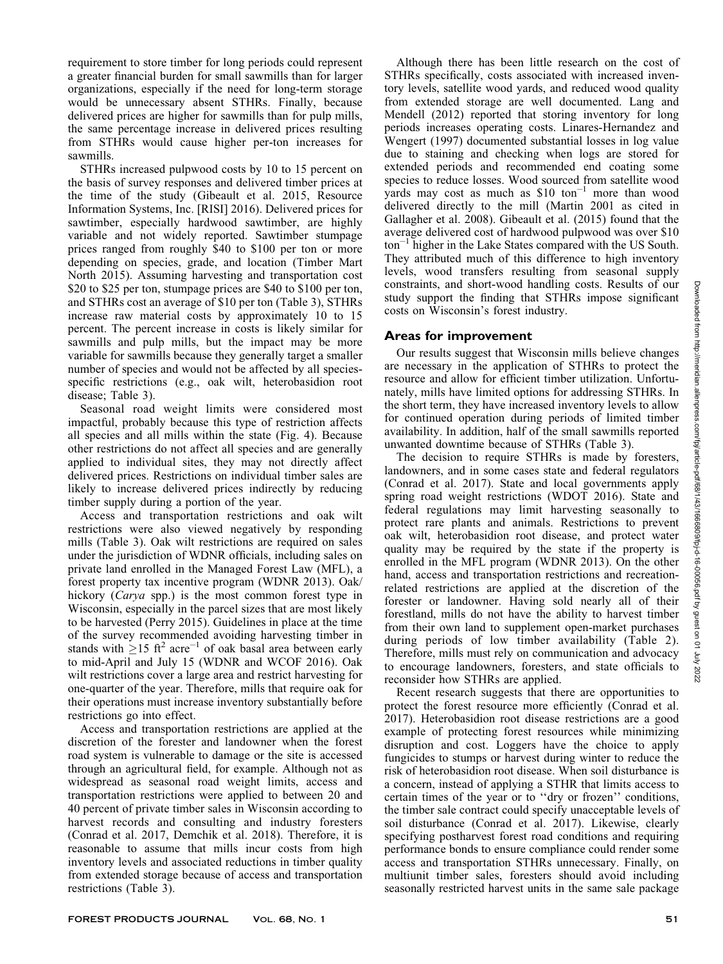requirement to store timber for long periods could represent a greater financial burden for small sawmills than for larger organizations, especially if the need for long-term storage would be unnecessary absent STHRs. Finally, because delivered prices are higher for sawmills than for pulp mills, the same percentage increase in delivered prices resulting from STHRs would cause higher per-ton increases for sawmills.

STHRs increased pulpwood costs by 10 to 15 percent on the basis of survey responses and delivered timber prices at the time of the study (Gibeault et al. 2015, Resource Information Systems, Inc. [RISI] 2016). Delivered prices for sawtimber, especially hardwood sawtimber, are highly variable and not widely reported. Sawtimber stumpage prices ranged from roughly \$40 to \$100 per ton or more depending on species, grade, and location (Timber Mart North 2015). Assuming harvesting and transportation cost \$20 to \$25 per ton, stumpage prices are \$40 to \$100 per ton, and STHRs cost an average of \$10 per ton (Table 3), STHRs increase raw material costs by approximately 10 to 15 percent. The percent increase in costs is likely similar for sawmills and pulp mills, but the impact may be more variable for sawmills because they generally target a smaller number of species and would not be affected by all speciesspecific restrictions (e.g., oak wilt, heterobasidion root disease; Table 3).

Seasonal road weight limits were considered most impactful, probably because this type of restriction affects all species and all mills within the state (Fig. 4). Because other restrictions do not affect all species and are generally applied to individual sites, they may not directly affect delivered prices. Restrictions on individual timber sales are likely to increase delivered prices indirectly by reducing timber supply during a portion of the year.

Access and transportation restrictions and oak wilt restrictions were also viewed negatively by responding mills (Table 3). Oak wilt restrictions are required on sales under the jurisdiction of WDNR officials, including sales on private land enrolled in the Managed Forest Law (MFL), a forest property tax incentive program (WDNR 2013). Oak/ hickory (Carya spp.) is the most common forest type in Wisconsin, especially in the parcel sizes that are most likely to be harvested (Perry 2015). Guidelines in place at the time of the survey recommended avoiding harvesting timber in stands with  $\geq 15$  ft<sup>2</sup> acre<sup>-1</sup> of oak basal area between early to mid-April and July 15 (WDNR and WCOF 2016). Oak wilt restrictions cover a large area and restrict harvesting for one-quarter of the year. Therefore, mills that require oak for their operations must increase inventory substantially before restrictions go into effect.

Access and transportation restrictions are applied at the discretion of the forester and landowner when the forest road system is vulnerable to damage or the site is accessed through an agricultural field, for example. Although not as widespread as seasonal road weight limits, access and transportation restrictions were applied to between 20 and 40 percent of private timber sales in Wisconsin according to harvest records and consulting and industry foresters (Conrad et al. 2017, Demchik et al. 2018). Therefore, it is reasonable to assume that mills incur costs from high inventory levels and associated reductions in timber quality from extended storage because of access and transportation restrictions (Table 3).

Although there has been little research on the cost of STHRs specifically, costs associated with increased inventory levels, satellite wood yards, and reduced wood quality from extended storage are well documented. Lang and Mendell (2012) reported that storing inventory for long periods increases operating costs. Linares-Hernandez and Wengert (1997) documented substantial losses in log value due to staining and checking when logs are stored for extended periods and recommended end coating some species to reduce losses. Wood sourced from satellite wood yards may cost as much as  $$10 \text{ ton}^{-1}$  more than wood delivered directly to the mill (Martin 2001 as cited in Gallagher et al. 2008). Gibeault et al. (2015) found that the average delivered cost of hardwood pulpwood was over \$10 ton<sup>-1</sup> higher in the Lake States compared with the US South. They attributed much of this difference to high inventory levels, wood transfers resulting from seasonal supply constraints, and short-wood handling costs. Results of our study support the finding that STHRs impose significant costs on Wisconsin's forest industry.

# Areas for improvement

Our results suggest that Wisconsin mills believe changes are necessary in the application of STHRs to protect the resource and allow for efficient timber utilization. Unfortunately, mills have limited options for addressing STHRs. In the short term, they have increased inventory levels to allow for continued operation during periods of limited timber availability. In addition, half of the small sawmills reported unwanted downtime because of STHRs (Table 3).

The decision to require STHRs is made by foresters, landowners, and in some cases state and federal regulators (Conrad et al. 2017). State and local governments apply spring road weight restrictions (WDOT 2016). State and federal regulations may limit harvesting seasonally to protect rare plants and animals. Restrictions to prevent oak wilt, heterobasidion root disease, and protect water quality may be required by the state if the property is enrolled in the MFL program (WDNR 2013). On the other hand, access and transportation restrictions and recreationrelated restrictions are applied at the discretion of the forester or landowner. Having sold nearly all of their forestland, mills do not have the ability to harvest timber from their own land to supplement open-market purchases during periods of low timber availability (Table 2). Therefore, mills must rely on communication and advocacy to encourage landowners, foresters, and state officials to reconsider how STHRs are applied.

Recent research suggests that there are opportunities to protect the forest resource more efficiently (Conrad et al. 2017). Heterobasidion root disease restrictions are a good example of protecting forest resources while minimizing disruption and cost. Loggers have the choice to apply fungicides to stumps or harvest during winter to reduce the risk of heterobasidion root disease. When soil disturbance is a concern, instead of applying a STHR that limits access to certain times of the year or to ''dry or frozen'' conditions, the timber sale contract could specify unacceptable levels of soil disturbance (Conrad et al. 2017). Likewise, clearly specifying postharvest forest road conditions and requiring performance bonds to ensure compliance could render some access and transportation STHRs unnecessary. Finally, on multiunit timber sales, foresters should avoid including seasonally restricted harvest units in the same sale package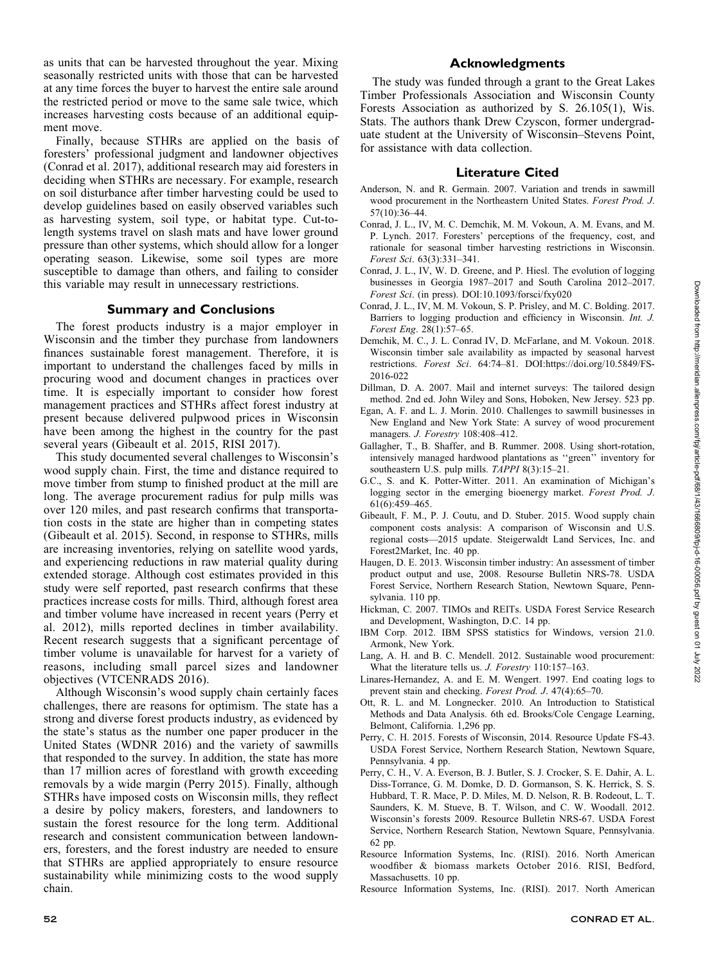as units that can be harvested throughout the year. Mixing seasonally restricted units with those that can be harvested at any time forces the buyer to harvest the entire sale around the restricted period or move to the same sale twice, which increases harvesting costs because of an additional equipment move.

Finally, because STHRs are applied on the basis of foresters' professional judgment and landowner objectives (Conrad et al. 2017), additional research may aid foresters in deciding when STHRs are necessary. For example, research on soil disturbance after timber harvesting could be used to develop guidelines based on easily observed variables such as harvesting system, soil type, or habitat type. Cut-tolength systems travel on slash mats and have lower ground pressure than other systems, which should allow for a longer operating season. Likewise, some soil types are more susceptible to damage than others, and failing to consider this variable may result in unnecessary restrictions.

## Summary and Conclusions

The forest products industry is a major employer in Wisconsin and the timber they purchase from landowners finances sustainable forest management. Therefore, it is important to understand the challenges faced by mills in procuring wood and document changes in practices over time. It is especially important to consider how forest management practices and STHRs affect forest industry at present because delivered pulpwood prices in Wisconsin have been among the highest in the country for the past several years (Gibeault et al. 2015, RISI 2017).

This study documented several challenges to Wisconsin's wood supply chain. First, the time and distance required to move timber from stump to finished product at the mill are long. The average procurement radius for pulp mills was over 120 miles, and past research confirms that transportation costs in the state are higher than in competing states (Gibeault et al. 2015). Second, in response to STHRs, mills are increasing inventories, relying on satellite wood yards, and experiencing reductions in raw material quality during extended storage. Although cost estimates provided in this study were self reported, past research confirms that these practices increase costs for mills. Third, although forest area and timber volume have increased in recent years (Perry et al. 2012), mills reported declines in timber availability. Recent research suggests that a significant percentage of timber volume is unavailable for harvest for a variety of reasons, including small parcel sizes and landowner objectives (VTCENRADS 2016).

Although Wisconsin's wood supply chain certainly faces challenges, there are reasons for optimism. The state has a strong and diverse forest products industry, as evidenced by the state's status as the number one paper producer in the United States (WDNR 2016) and the variety of sawmills that responded to the survey. In addition, the state has more than 17 million acres of forestland with growth exceeding removals by a wide margin (Perry 2015). Finally, although STHRs have imposed costs on Wisconsin mills, they reflect a desire by policy makers, foresters, and landowners to sustain the forest resource for the long term. Additional research and consistent communication between landowners, foresters, and the forest industry are needed to ensure that STHRs are applied appropriately to ensure resource sustainability while minimizing costs to the wood supply chain.

## Acknowledgments

The study was funded through a grant to the Great Lakes Timber Professionals Association and Wisconsin County Forests Association as authorized by S. 26.105(1), Wis. Stats. The authors thank Drew Czyscon, former undergraduate student at the University of Wisconsin–Stevens Point, for assistance with data collection.

#### Literature Cited

- Anderson, N. and R. Germain. 2007. Variation and trends in sawmill wood procurement in the Northeastern United States. Forest Prod. J. 57(10):36–44.
- Conrad, J. L., IV, M. C. Demchik, M. M. Vokoun, A. M. Evans, and M. P. Lynch. 2017. Foresters' perceptions of the frequency, cost, and rationale for seasonal timber harvesting restrictions in Wisconsin. Forest Sci. 63(3):331–341.
- Conrad, J. L., IV, W. D. Greene, and P. Hiesl. The evolution of logging businesses in Georgia 1987–2017 and South Carolina 2012–2017. Forest Sci. (in press). DOI:10.1093/forsci/fxy020
- Conrad, J. L., IV, M. M. Vokoun, S. P. Prisley, and M. C. Bolding. 2017. Barriers to logging production and efficiency in Wisconsin. Int. J. Forest Eng. 28(1):57–65.
- Demchik, M. C., J. L. Conrad IV, D. McFarlane, and M. Vokoun. 2018. Wisconsin timber sale availability as impacted by seasonal harvest restrictions. Forest Sci. 64:74–81. DOI:https://doi.org/10.5849/FS-2016-022
- Dillman, D. A. 2007. Mail and internet surveys: The tailored design method. 2nd ed. John Wiley and Sons, Hoboken, New Jersey. 523 pp.
- Egan, A. F. and L. J. Morin. 2010. Challenges to sawmill businesses in New England and New York State: A survey of wood procurement managers. J. Forestry 108:408–412.
- Gallagher, T., B. Shaffer, and B. Rummer. 2008. Using short-rotation, intensively managed hardwood plantations as ''green'' inventory for southeastern U.S. pulp mills. TAPPI 8(3):15-21.
- G.C., S. and K. Potter-Witter. 2011. An examination of Michigan's logging sector in the emerging bioenergy market. Forest Prod. J. 61(6):459–465.
- Gibeault, F. M., P. J. Coutu, and D. Stuber. 2015. Wood supply chain component costs analysis: A comparison of Wisconsin and U.S. regional costs—2015 update. Steigerwaldt Land Services, Inc. and Forest2Market, Inc. 40 pp.
- Haugen, D. E. 2013. Wisconsin timber industry: An assessment of timber product output and use, 2008. Resourse Bulletin NRS-78. USDA Forest Service, Northern Research Station, Newtown Square, Pennsylvania. 110 pp.
- Hickman, C. 2007. TIMOs and REITs. USDA Forest Service Research and Development, Washington, D.C. 14 pp.
- IBM Corp. 2012. IBM SPSS statistics for Windows, version 21.0. Armonk, New York.
- Lang, A. H. and B. C. Mendell. 2012. Sustainable wood procurement: What the literature tells us. J. Forestry 110:157–163.
- Linares-Hernandez, A. and E. M. Wengert. 1997. End coating logs to prevent stain and checking. Forest Prod. J. 47(4):65–70.
- Ott, R. L. and M. Longnecker. 2010. An Introduction to Statistical Methods and Data Analysis. 6th ed. Brooks/Cole Cengage Learning, Belmont, California. 1,296 pp.
- Perry, C. H. 2015. Forests of Wisconsin, 2014. Resource Update FS-43. USDA Forest Service, Northern Research Station, Newtown Square, Pennsylvania. 4 pp.
- Perry, C. H., V. A. Everson, B. J. Butler, S. J. Crocker, S. E. Dahir, A. L. Diss-Torrance, G. M. Domke, D. D. Gormanson, S. K. Herrick, S. S. Hubbard, T. R. Mace, P. D. Miles, M. D. Nelson, R. B. Rodeout, L. T. Saunders, K. M. Stueve, B. T. Wilson, and C. W. Woodall. 2012. Wisconsin's forests 2009. Resource Bulletin NRS-67. USDA Forest Service, Northern Research Station, Newtown Square, Pennsylvania. 62 pp.
- Resource Information Systems, Inc. (RISI). 2016. North American woodfiber & biomass markets October 2016. RISI, Bedford, Massachusetts. 10 pp.
- Resource Information Systems, Inc. (RISI). 2017. North American